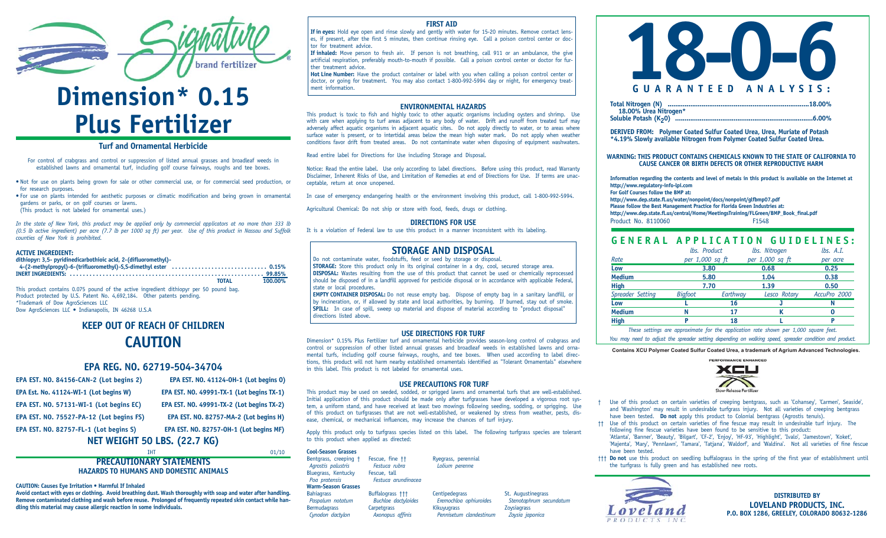

# **Dimension\* 0.15 Plus Fertilizer**

#### **Turf and Ornamental Herbicide**

For control of crabgrass and control or suppression of listed annual grasses and broadleaf weeds in established lawns and ornamental turf, including golf course fairways, roughs and tee boxes.

• Not for use on plants being grown for sale or other commercial use, or for commercial seed production, or for research purposes.

• For use on plants intended for aesthetic purposes or climatic modification and being grown in ornamental gardens or parks, or on golf courses or lawns.

(This product is not labeled for ornamental uses.)

*In the state of New York, this product may be applied only by commercial applicators at no more than 333 lb (0.5 lb active ingredient) per acre (7.7 lb per 1000 sq ft) per year. Use of this product in Nassau and Suffolk counties of New York is prohibited.*

#### **ACTIVE INGREDIENT:**

| dithiopyr: 3,5- pyridinedicarbothioic acid, 2-(difluoromethyl)-                        |                         |
|----------------------------------------------------------------------------------------|-------------------------|
|                                                                                        |                         |
|                                                                                        |                         |
|                                                                                        | 100.00%<br><b>TOTAL</b> |
| This product contains 0.075 pound of the active ingredient dithiopyr per 50 pound bag. |                         |

Product protected by U.S. Patent No. 4,692,184. Other patents pending. \*Trademark of Dow AgroSciences LLC Dow AgroSciences LLC • Indianapolis, IN 46268 U.S.A

## **KEEP OUT OF REACH OF CHILDREN CAUTION**

#### **EPA REG. NO. 62719-504-34704**

| <b>NET WEIGHT 50 LBS. (22.7 KG)</b>      |                                           |  |  |
|------------------------------------------|-------------------------------------------|--|--|
| EPA EST. NO. 82757-FL-1 (Lot begins S)   | EPA EST. NO. 82757-0H-1 (Lot begins MF)   |  |  |
| EPA EST. NO. 75527-PA-12 (Lot begins FS) | EPA EST. NO. 82757-MA-2 (Lot begins H)    |  |  |
| EPA EST. NO. 57131-WI-1 (Lot begins EC)  | EPA EST. NO. 49991-TX-2 (Lot begins TX-2) |  |  |
| EPA Est. No. 41124-WI-1 (Lot begins W)   | EPA EST. NO. 49991-TX-1 (Lot begins TX-1) |  |  |
| EPA EST. NO. 84156-CAN-2 (Lot begins 2)  | EPA EST. NO. 41124-0H-1 (Lot begins 0)    |  |  |

#### IHT 01/10 **PRECAUTIONARY STATEMENTS HAZARDS TO HUMANS AND DOMESTIC ANIMALS**

**CAUTION: Causes Eye Irritation • Harmful If Inhaled**

**Avoid contact with eyes or clothing. Avoid breathing dust. Wash thoroughly with soap and water after handling. Remove contaminated clothing and wash before reuse. Prolonged of frequently repeated skin contact while handling this material may cause allergic reaction in some individuals.**

#### **FIRST AID**

**If in eyes:** Hold eye open and rinse slowly and gently with water for 15-20 minutes. Remove contact lenses, if present, after the first 5 minutes, then continue rinsing eye. Call a poison control center or doctor for treatment advice.

**If inhaled:** Move person to fresh air. If person is not breathing, call 911 or an ambulance, the give artificial respiration, preferably mouth-to-mouth if possible. Call a poison control center or doctor for further treatment advice.

**Hot Line Number:** Have the product container or label with you when calling a poison control center or doctor, or going for treatment. You may also contact 1-800-992-5994 day or night, for emergency treat-<br>ment information.

#### **ENVIRONMENTAL HAZARDS**

This product is toxic to fish and highly toxic to other aquatic organisms including oysters and shrimp. Use with care when applying to turf areas adjacent to any body of water. Drift and runoff from treated turf may adversely affect aquatic organisms in adjacent aquatic sites. Do not apply directly to water, or to areas where surface water is present, or to intertidal areas below the mean high water mark. Do not apply when weather conditions favor drift from treated areas. Do not contaminate water when disposing of equipment washwaters.

Read entire label for Directions for Use including Storage and Disposal.

Notice: Read the entire label. Use only according to label directions. Before using this product, read Warranty Disclaimer, Inherent Risks of Use, and Limitation of Remedies at end of Directions for Use. If terms are unacceptable, return at once unopened.

In case of emergency endangering health or the environment involving this product, call 1-800-992-5994.

Agricultural Chemical: Do not ship or store with food, feeds, drugs or clothing.

#### **DIRECTIONS FOR USE**

It is a violation of Federal law to use this product in a manner inconsistent with its labeling.

#### **STORAGE AND DISPOSAL**

Do not contaminate water, foodstuffs, feed or seed by storage or disposal.

**STORAGE:** Store this product only in its original container in a dry, cool, secured storage area. **DISPOSAL:** Wastes resulting from the use of this product that cannot be used or chemically reprocessed should be disposed of in a landfill approved for pesticide disposal or in accordance with applicable Federal, state or local procedures.

**EMPTY CONTAINER DISPOSAL:** Do not reuse empty bag. Dispose of empty bag in a sanitary landfill, or by incineration, or, if allowed by state and local authorities, by burning. If burned, stay out of smoke. **SPILL:** In case of spill, sweep up material and dispose of material according to "product disposal" directions listed above.

#### **USE DIRECTIONS FOR TURF**

Dimension\* 0.15% Plus Fertilizer turf and ornamental herbicide provides season-long control of crabgrass and control or suppression of other listed annual grasses and broadleaf weeds in established lawns and ornamental turfs, including golf course fairways, roughs, and tee boxes. When used according to label directions, this product will not harm nearby established ornamentals identified as "Tolerant Ornamentals" elsewhere in this label. This product is not labeled for ornamental uses.

#### **USE PRECAUTIONS FOR TURF**

This product may be used on seeded, sodded, or sprigged lawns and ornamental turfs that are well-established. Initial application of this product should be made only after turfgrasses have developed a vigorous root system, a uniform stand, and have received at least two mowings following seeding, sodding, or sprigging. Use of this product on turfgrasses that are not well-established, or weakened by stress from weather, pests, disease, chemical, or mechanical influences, may increase the chances of turf injury.

Apply this product only to turfgrass species listed on this label. The following turfgrass species are tolerant to this product when applied as directed:

**Cool-Season Grasses** Bentgrass, creeping † Fescue, fine †† Ryegrass, perennial<br>Aarostis palustris Festuca rubra (Lolium perenne *Agrostis palustris*<br>**Bluegrass, Kentucky** *Fescue, tall* Bluegrass, Kentucky<br>Poa pratensis

Bahiagrass **Buffalograss †††** Centipedegrass St. Augustinegrass Buffalograss + 1<br>Paspalum notatum Buchloe dactyloides Eremochloa ophiuroides Stenotaphrum sec **Bermudagrass** 

*Paspalum notatum Buchloe dactyloides Eremochloa ophiuroide*<sup>s</sup> *Stenotaphrum secundatum Cynodon dactylon Axonopus affinis Pennisetum clandestinum Zoysia japonica*



| 18.00% Urea Nitrogen* |  |
|-----------------------|--|
|                       |  |

**DERIVED FROM: Polymer Coated Sulfur Coated Urea, Urea, Muriate of Potash \*4.19% Slowly available Nitrogen from Polymer Coated Sulfur Coated Urea.**

**WARNING: THIS PRODUCT CONTAINS CHEMICALS KNOWN TO THE STATE OF CALIFORNIA TO CAUSE CANCER OR BIRTH DEFECTS OR OTHER REPRODUCTIVE HARM**

**Information regarding the contents and level of metals in this product is available on the Internet at http://www.regulatory-info-lpi.com For Golf Courses follow the BMP at:** 

**http://www.dep.state.fl.us/water/nonpoint/docs/nonpoint/glfbmp07.pdf**

**Please follow the Best Management Practice for Florida Green Industries at: http://www.dep.state.fl.us/central/Home/MeetingsTraining/FLGreen/BMP\_Book\_final.pdf** Product No. 8110060

### **GENERAL APPLICATION GUIDELINES:**

| <b>High</b><br>--<br>$\sim$ $\sim$ $\sim$ | р<br>$\bullet$ . The contract of the contract of the contract of the contract of the contract of the contract of the contract of the contract of the contract of the contract of the contract of the contract of the contract of the co | 18       |                 | . | $\sim$ $\sim$ |  |
|-------------------------------------------|-----------------------------------------------------------------------------------------------------------------------------------------------------------------------------------------------------------------------------------------|----------|-----------------|---|---------------|--|
| <b>Medium</b>                             | Ν                                                                                                                                                                                                                                       | 17       | K               |   | 0             |  |
| Low                                       |                                                                                                                                                                                                                                         | 16       |                 |   | N             |  |
| Spreader Setting                          | <b>Bigfoot</b>                                                                                                                                                                                                                          | Earthway | Lesco Rotary    |   | AccuPro 2000  |  |
| <b>High</b>                               | 7.70                                                                                                                                                                                                                                    |          | 1.39            |   | 0.50          |  |
| <b>Medium</b>                             | 5.80                                                                                                                                                                                                                                    |          | 1.04            |   | 0.38          |  |
| Low                                       | 3.80                                                                                                                                                                                                                                    |          | 0.68            |   | 0.25          |  |
| Rate                                      | per 1,000 sq ft                                                                                                                                                                                                                         |          | per 1,000 sq ft |   | per acre      |  |
|                                           | lbs. Product                                                                                                                                                                                                                            |          | lbs. Nitrogen   |   | lbs. A.I.     |  |

*These settings are approximate for the application rate shown per 1,000 square feet.*

*You may need to adjust the spreader setting depending on walking speed, spreader condition and product.*

**Contains XCU Polymer Coated Sulfur Coated Urea, a trademark of Agrium Advanced Technologies.**



- † Use of this product on certain varieties of creeping bentgrass, such as 'Cohansey', 'Carmen', Seaside', and 'Washington' may result in undesirable turfgrass injury. Not all varieties of creeping bentgrass have been tested. **Do not** apply this product to Colonial bentgrass (Agrostis tenuis).
- †† Use of this product on certain varieties of fine fescue may result in undesirable turf injury. The following fine fescue varieties have been found to be sensitive to this product: 'Atlanta', 'Banner', 'Beauty', 'Bilgart', 'CF-2', 'Enjoy', 'HF-93', 'Highlight', 'Ivalo', 'Jamestown', 'Koket', 'Majenta', 'Mary', 'Pennlawn', 'Tamara', 'Tatjana', 'Waldorf', and 'Waldina'. Not all varieties of fine fescue have been tested.
- ††† **Do not** use this product on seedling buffalograss in the spring of the first year of establishment until the turfgrass is fully green and has established new roots.



**DISTRIBUTED BY LOVELAND PRODUCTS, INC. P.O. BOX 1286, GREELEY, COLORADO 80632-1286**

*Poa pratensis Festuca arundinacea*

## **Warm-Season Grasses**